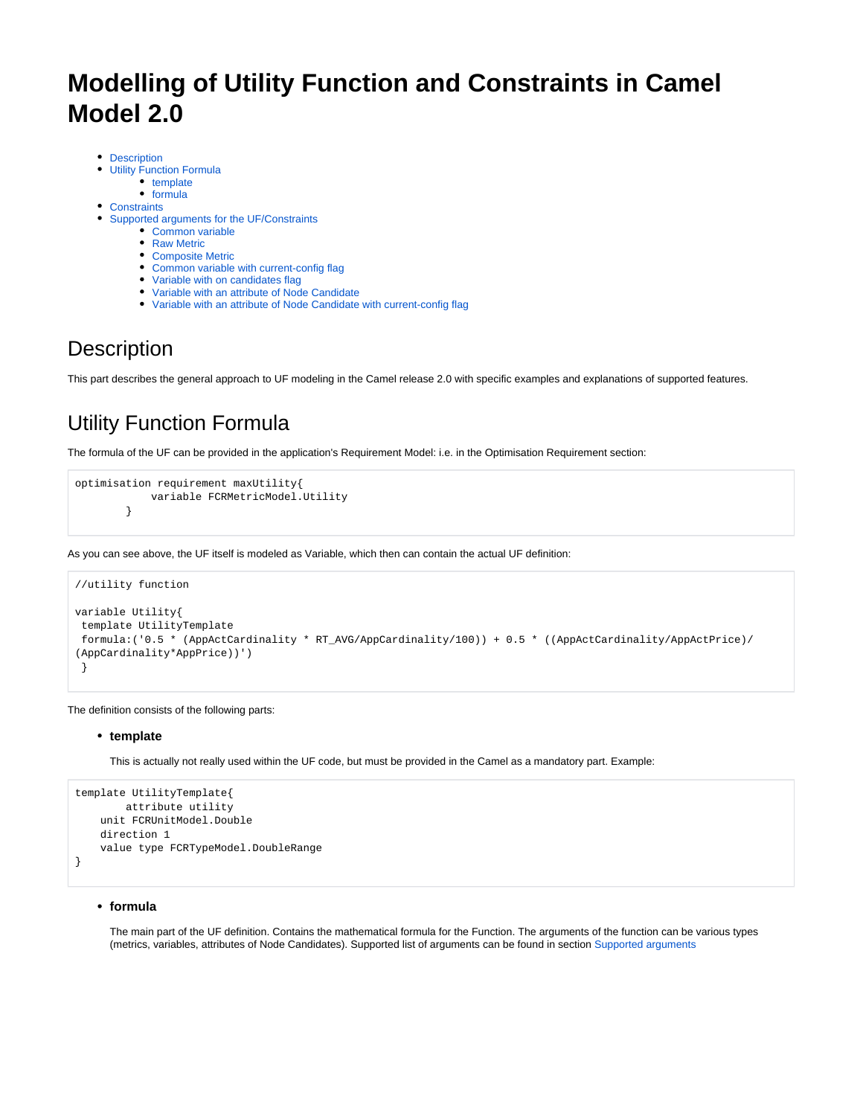# **Modelling of Utility Function and Constraints in Camel Model 2.0**

- [Description](#page-0-0)
- [Utility Function Formula](#page-0-1)
	- [template](#page-0-2)
	- $•$  [formula](#page-0-3)
- **[Constraints](#page-1-0)**
- [Supported arguments for the UF/Constraints](#page-1-1)
	- [Common variable](#page-1-2)
	- Raw Metric
	- [Composite Metric](#page-2-1)
	- [Common variable with current-config flag](#page-2-2)
	- [Variable with on candidates flag](#page-3-0)
	- [Variable with an attribute of Node Candidate](#page-3-1)
	- [Variable with an attribute of Node Candidate with current-config flag](#page-3-2)

## <span id="page-0-0"></span>**Description**

This part describes the general approach to UF modeling in the Camel release 2.0 with specific examples and explanations of supported features.

## <span id="page-0-1"></span>Utility Function Formula

The formula of the UF can be provided in the application's Requirement Model: i.e. in the Optimisation Requirement section:

```
optimisation requirement maxUtility{
             variable FCRMetricModel.Utility
         }
```
As you can see above, the UF itself is modeled as Variable, which then can contain the actual UF definition:

```
//utility function
variable Utility{
 template UtilityTemplate
 formula:('0.5 * (AppActCardinality * RT_AVG/AppCardinality/100)) + 0.5 * ((AppActCardinality/AppActPrice)/
(AppCardinality*AppPrice))')
  }
```
<span id="page-0-2"></span>The definition consists of the following parts:

#### **template**

This is actually not really used within the UF code, but must be provided in the Camel as a mandatory part. Example:

```
template UtilityTemplate{
        attribute utility
    unit FCRUnitModel.Double
    direction 1 
     value type FCRTypeModel.DoubleRange
}
```
#### <span id="page-0-3"></span>**formula**

The main part of the UF definition. Contains the mathematical formula for the Function. The arguments of the function can be various types (metrics, variables, attributes of Node Candidates). Supported list of arguments can be found in section [Supported arguments](#page-1-3)

⋒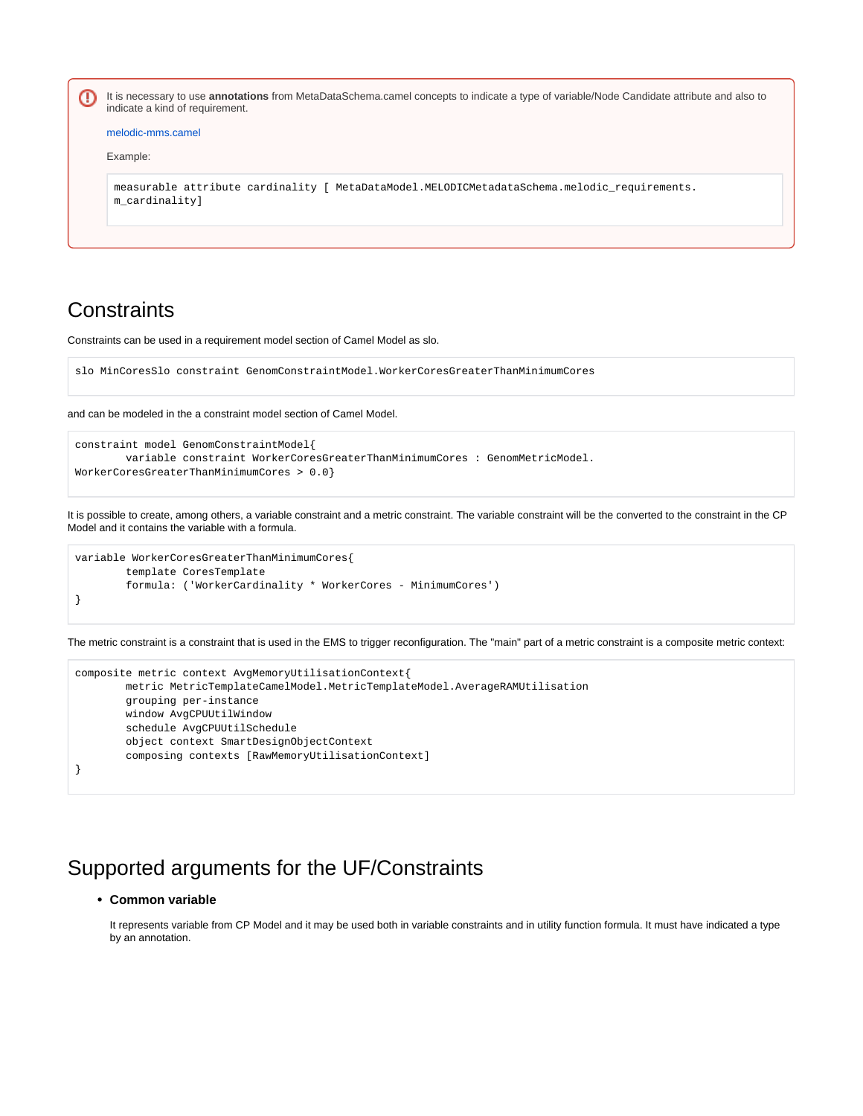It is necessary to use **annotations** from MetaDataSchema.camel concepts to indicate a type of variable/Node Candidate attribute and also to − indicate a kind of requirement.

```
melodic-mms.camel
```

```
Example:
```

```
measurable attribute cardinality [ MetaDataModel.MELODICMetadataSchema.melodic_requirements.
m_cardinality]
```
### <span id="page-1-0"></span>**Constraints**

Constraints can be used in a requirement model section of Camel Model as slo.

```
slo MinCoresSlo constraint GenomConstraintModel.WorkerCoresGreaterThanMinimumCores
```
and can be modeled in the a constraint model section of Camel Model.

```
constraint model GenomConstraintModel{
        variable constraint WorkerCoresGreaterThanMinimumCores : GenomMetricModel.
WorkerCoresGreaterThanMinimumCores > 0.0}
```
It is possible to create, among others, a variable constraint and a metric constraint. The variable constraint will be the converted to the constraint in the CP Model and it contains the variable with a formula.

```
variable WorkerCoresGreaterThanMinimumCores{
         template CoresTemplate
         formula: ('WorkerCardinality * WorkerCores - MinimumCores')
}
```
The metric constraint is a constraint that is used in the EMS to trigger reconfiguration. The "main" part of a metric constraint is a composite metric context:

```
composite metric context AvgMemoryUtilisationContext{
        metric MetricTemplateCamelModel.MetricTemplateModel.AverageRAMUtilisation
        grouping per-instance
        window AvgCPUUtilWindow
        schedule AvgCPUUtilSchedule
        object context SmartDesignObjectContext
        composing contexts [RawMemoryUtilisationContext]
}
```
### <span id="page-1-3"></span><span id="page-1-2"></span><span id="page-1-1"></span>Supported arguments for the UF/Constraints

#### **Common variable**

It represents variable from CP Model and it may be used both in variable constraints and in utility function formula. It must have indicated a type by an annotation.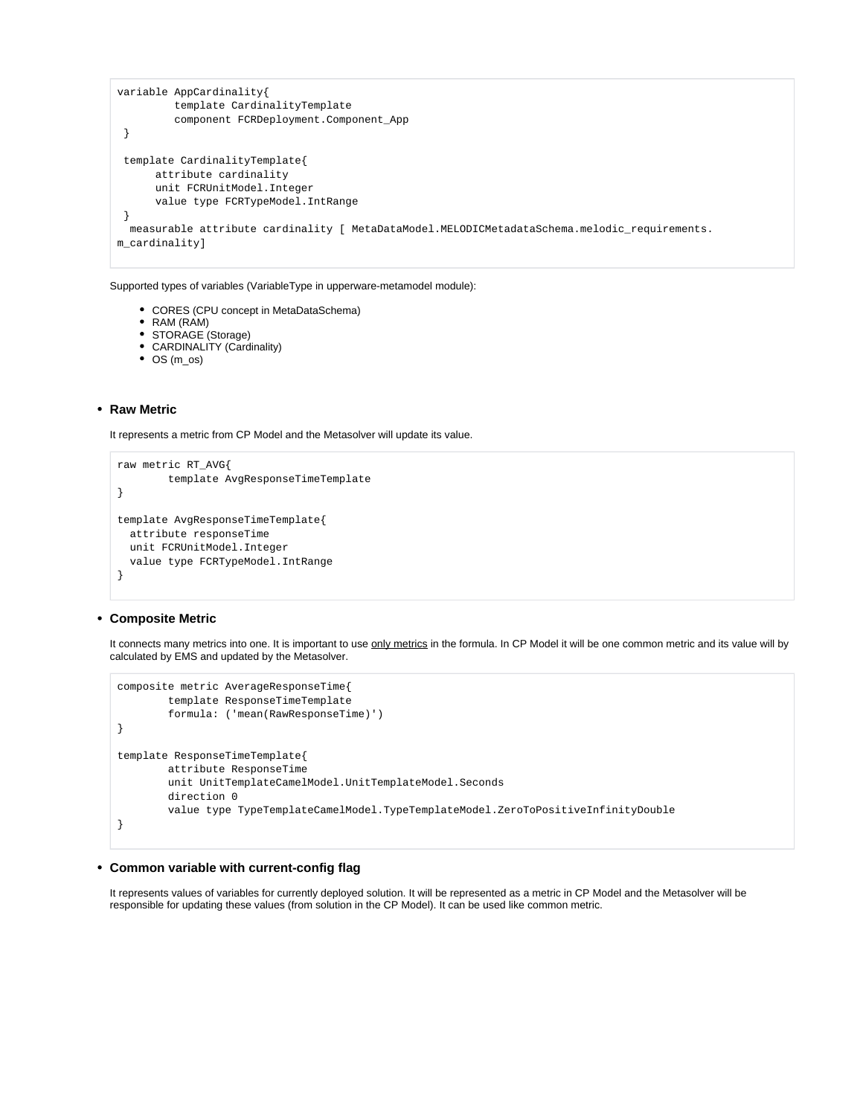```
variable AppCardinality{
          template CardinalityTemplate 
          component FCRDeployment.Component_App
  }
  template CardinalityTemplate{
      attribute cardinality
       unit FCRUnitModel.Integer
       value type FCRTypeModel.IntRange
 }
  measurable attribute cardinality [ MetaDataModel.MELODICMetadataSchema.melodic_requirements.
m cardinality]
```
Supported types of variables (VariableType in upperware-metamodel module):

CORES (CPU concept in MetaDataSchema)

```
RAM (RAM)
```
- STORAGE (Storage)
- CARDINALITY (Cardinality)
- OS (m\_os)

#### <span id="page-2-0"></span>**Raw Metric**

It represents a metric from CP Model and the Metasolver will update its value.

```
raw metric RT_AVG{
         template AvgResponseTimeTemplate
}
template AvgResponseTimeTemplate{
  attribute responseTime
  unit FCRUnitModel.Integer
   value type FCRTypeModel.IntRange
}
```
#### <span id="page-2-1"></span>**Composite Metric**

It connects many metrics into one. It is important to use only metrics in the formula. In CP Model it will be one common metric and its value will by calculated by EMS and updated by the Metasolver.

```
composite metric AverageResponseTime{
         template ResponseTimeTemplate
         formula: ('mean(RawResponseTime)')
}
template ResponseTimeTemplate{
         attribute ResponseTime
        unit UnitTemplateCamelModel.UnitTemplateModel.Seconds
         direction 0
         value type TypeTemplateCamelModel.TypeTemplateModel.ZeroToPositiveInfinityDouble
}
```
#### <span id="page-2-2"></span>**Common variable with current-config flag**

It represents values of variables for currently deployed solution. It will be represented as a metric in CP Model and the Metasolver will be responsible for updating these values (from solution in the CP Model). It can be used like common metric.